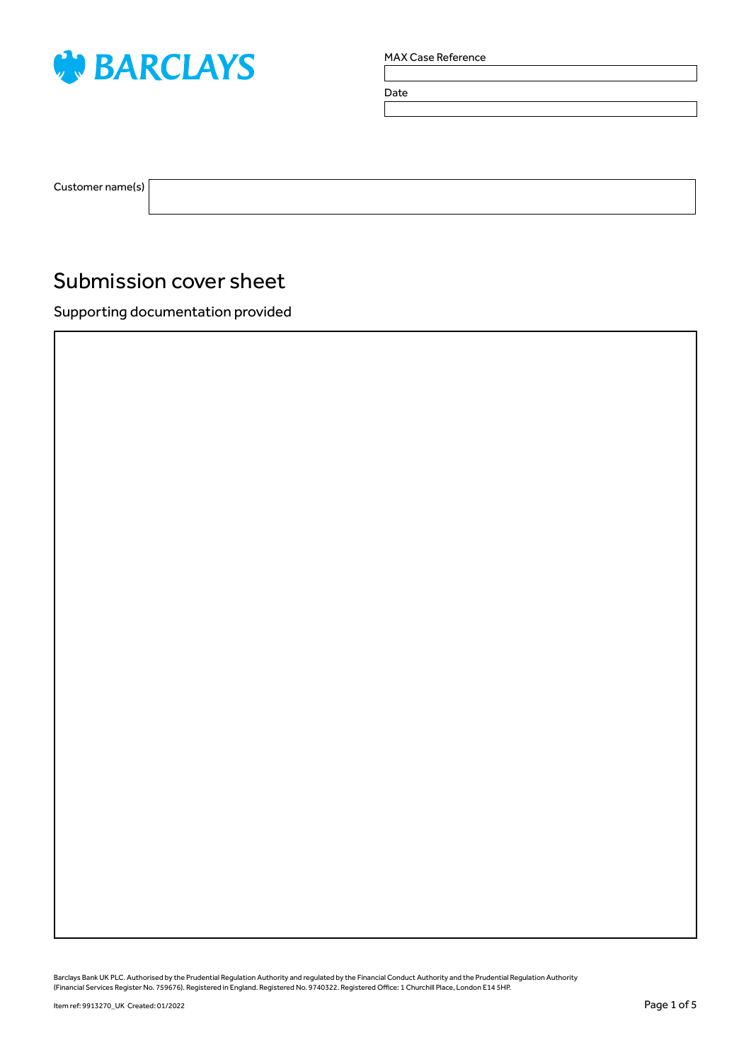

Date

Customer name(s)

## Submission cover sheet

Supporting documentation provided

Barclays Bank UK PLC. Authorised by the Prudential Regulation Authority and regulated by the Financial Conduct Authority and the Prudential Regulation Authority<br>(Financial Services Register No. 759676). Registered in Engla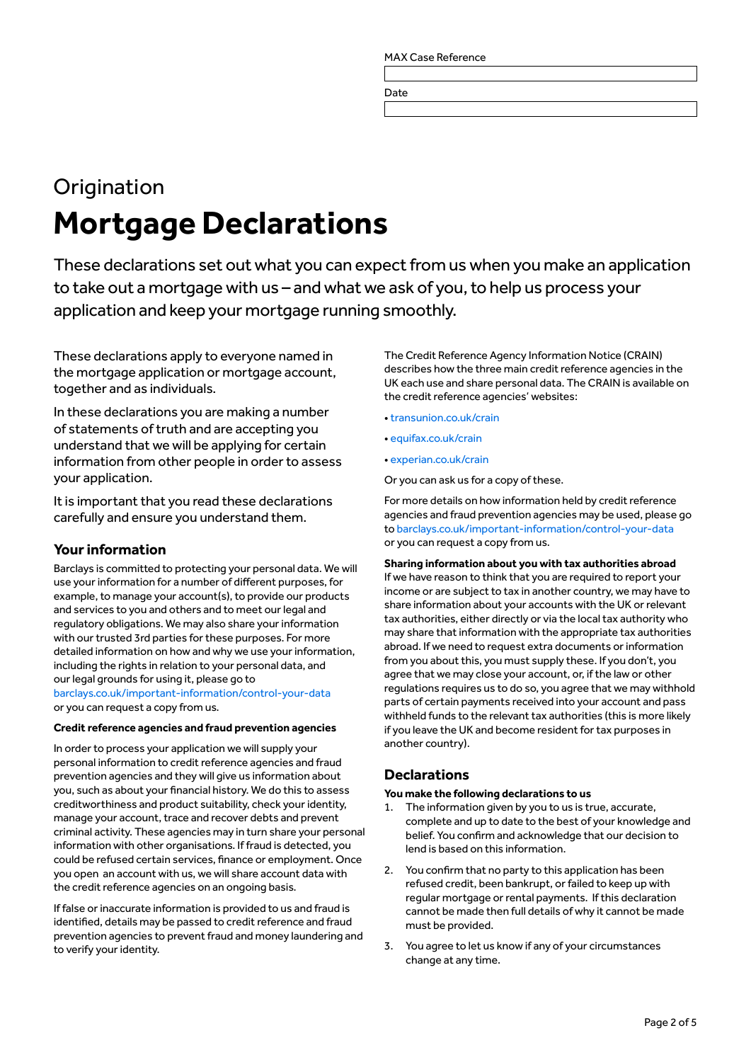Date

# **Origination Mortgage Declarations**

These declarations set out what you can expect from us when you make an application to take out a mortgage with us – and what we ask of you, to help us process your application and keep your mortgage running smoothly.

These declarations apply to everyone named in the mortgage application or mortgage account, together and as individuals.

In these declarations you are making a number of statements of truth and are accepting you understand that we will be applying for certain information from other people in order to assess your application.

It is important that you read these declarations carefully and ensure you understand them.

## **Your information**

Barclays is committed to protecting your personal data. We will use your information for a number of different purposes, for example, to manage your account(s), to provide our products and services to you and others and to meet our legal and regulatory obligations. We may also share your information with our trusted 3rd parties for these purposes. For more detailed information on how and why we use your information, including the rights in relation to your personal data, and our legal grounds for using it, please go to [barclays.co.uk/important-information/control-your-data](http://barclays.co.uk/important-information/control-your-data)

or you can request a copy from us.

#### **Credit reference agencies and fraud prevention agencies**

In order to process your application we will supply your personal information to credit reference agencies and fraud prevention agencies and they will give us information about you, such as about your financial history. We do this to assess creditworthiness and product suitability, check your identity, manage your account, trace and recover debts and prevent criminal activity. These agencies may in turn share your personal information with other organisations. If fraud is detected, you could be refused certain services, finance or employment. Once you open an account with us, we will share account data with the credit reference agencies on an ongoing basis.

If false or inaccurate information is provided to us and fraud is identified, details may be passed to credit reference and fraud prevention agencies to prevent fraud and money laundering and to verify your identity.

The Credit Reference Agency Information Notice (CRAIN) describes how the three main credit reference agencies in the UK each use and share personal data. The CRAIN is available on the credit reference agencies' websites:

- [transunion.co.uk/crain](http://transunion.co.uk/crain)
- [equifax.co.uk/crain](http://equifax.co.uk/crain)
- [experian.co.uk/crain](http://experian.co.uk/crain)

Or you can ask us for a copy of these.

For more details on how information held by credit reference agencies and fraud prevention agencies may be used, please go to [barclays.co.uk/important-information/control-your-data](http://barclays.co.uk/important-information/control-your-data) or you can request a copy from us.

## **Sharing information about you with tax authorities abroad**

If we have reason to think that you are required to report your income or are subject to tax in another country, we may have to share information about your accounts with the UK or relevant tax authorities, either directly or via the local tax authority who may share that information with the appropriate tax authorities abroad. If we need to request extra documents or information from you about this, you must supply these. If you don't, you agree that we may close your account, or, if the law or other regulations requires us to do so, you agree that we may withhold parts of certain payments received into your account and pass withheld funds to the relevant tax authorities (this is more likely if you leave the UK and become resident for tax purposes in another country).

## **Declarations**

#### **You make the following declarations to us**

- 1. The information given by you to us is true, accurate, complete and up to date to the best of your knowledge and belief. You confirm and acknowledge that our decision to lend is based on this information.
- 2. You confirm that no party to this application has been refused credit, been bankrupt, or failed to keep up with regular mortgage or rental payments. If this declaration cannot be made then full details of why it cannot be made must be provided.
- 3. You agree to let us know if any of your circumstances change at any time.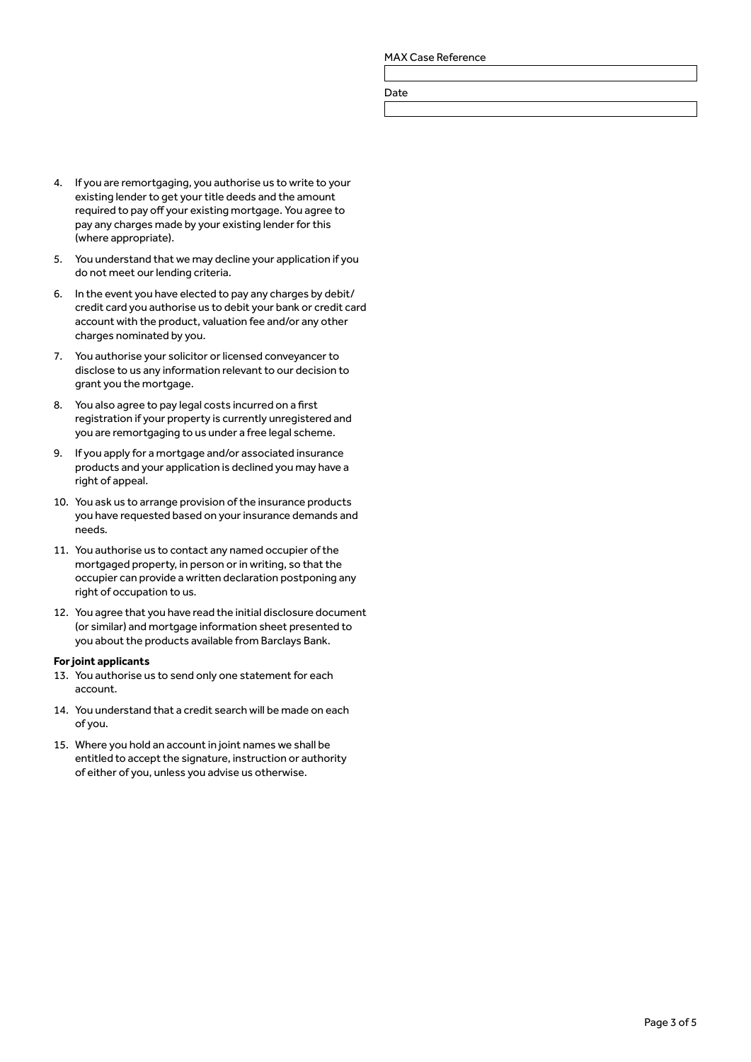Date

- 4. If you are remortgaging, you authorise us to write to your existing lender to get your title deeds and the amount required to pay off your existing mortgage. You agree to pay any charges made by your existing lender for this (where appropriate).
- 5. You understand that we may decline your application if you do not meet our lending criteria.
- 6. In the event you have elected to pay any charges by debit/ credit card you authorise us to debit your bank or credit card account with the product, valuation fee and/or any other charges nominated by you.
- 7. You authorise your solicitor or licensed conveyancer to disclose to us any information relevant to our decision to grant you the mortgage.
- 8. You also agree to pay legal costs incurred on a first registration if your property is currently unregistered and you are remortgaging to us under a free legal scheme.
- 9. If you apply for a mortgage and/or associated insurance products and your application is declined you may have a right of appeal.
- 10. You ask us to arrange provision of the insurance products you have requested based on your insurance demands and needs.
- 11. You authorise us to contact any named occupier of the mortgaged property, in person or in writing, so that the occupier can provide a written declaration postponing any right of occupation to us.
- 12. You agree that you have read the initial disclosure document (or similar) and mortgage information sheet presented to you about the products available from Barclays Bank.

#### **For joint applicants**

- 13. You authorise us to send only one statement for each account.
- 14. You understand that a credit search will be made on each of you.
- 15. Where you hold an account in joint names we shall be entitled to accept the signature, instruction or authority of either of you, unless you advise us otherwise.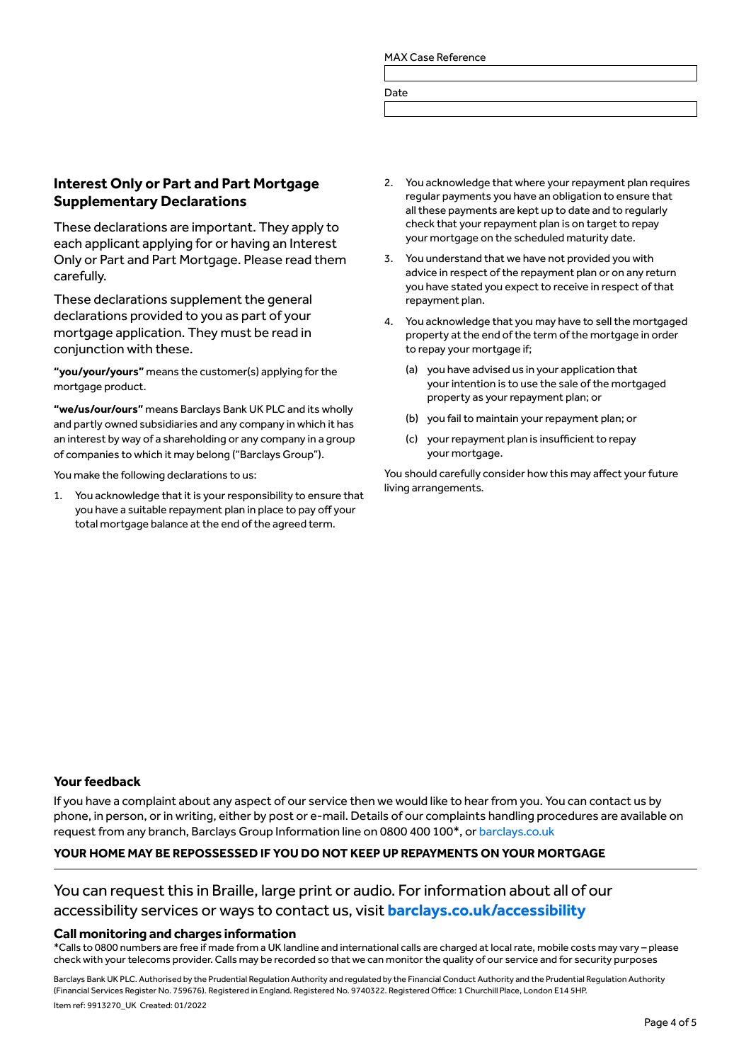Date

## **Interest Only or Part and Part Mortgage Supplementary Declarations**

These declarations are important. They apply to each applicant applying for or having an Interest Only or Part and Part Mortgage. Please read them carefully.

These declarations supplement the general declarations provided to you as part of your mortgage application. They must be read in conjunction with these.

**"you/your/yours"** means the customer(s) applying for the mortgage product.

**"we/us/our/ours"** means Barclays Bank UK PLC and its wholly and partly owned subsidiaries and any company in which it has an interest by way of a shareholding or any company in a group of companies to which it may belong ("Barclays Group").

You make the following declarations to us:

1. You acknowledge that it is your responsibility to ensure that you have a suitable repayment plan in place to pay off your total mortgage balance at the end of the agreed term.

- You acknowledge that where your repayment plan requires regular payments you have an obligation to ensure that all these payments are kept up to date and to regularly check that your repayment plan is on target to repay your mortgage on the scheduled maturity date.
- 3. You understand that we have not provided you with advice in respect of the repayment plan or on any return you have stated you expect to receive in respect of that repayment plan.
- 4. You acknowledge that you may have to sell the mortgaged property at the end of the term of the mortgage in order to repay your mortgage if;
	- (a) you have advised us in your application that your intention is to use the sale of the mortgaged property as your repayment plan; or
	- (b) you fail to maintain your repayment plan; or
	- (c) your repayment plan is insufficient to repay your mortgage.

You should carefully consider how this may affect your future living arrangements.

### **Your feedback**

If you have a complaint about any aspect of our service then we would like to hear from you. You can contact us by phone, in person, or in writing, either by post or e-mail. Details of our complaints handling procedures are available on request from any branch, Barclays Group Information line on 0800 400 100\*, or [barclays.co.uk](http://barclays.co.uk)

#### **YOUR HOME MAY BE REPOSSESSED IF YOU DO NOT KEEP UP REPAYMENTS ON YOUR MORTGAGE**

## You can request this in Braille, large print or audio. For information about all of our accessibility services or ways to contact us, visit **[barclays.co.uk/accessibility](http://barclays.co.uk/accessibility)**

#### **Call monitoring and charges information**

\*Calls to 0800 numbers are free if made from a UK landline and international calls are charged at local rate, mobile costs may vary – please check with your telecoms provider. Calls may be recorded so that we can monitor the quality of our service and for security purposes

Barclays Bank UK PLC. Authorised by the Prudential Regulation Authority and regulated by the Financial Conduct Authority and the Prudential Regulation Authority (Financial Services Register No. 759676). Registered in England. Registered No. 9740322. Registered Office: 1 Churchill Place, London E14 5HP. Item ref: 9913270\_UK Created: 01/2022